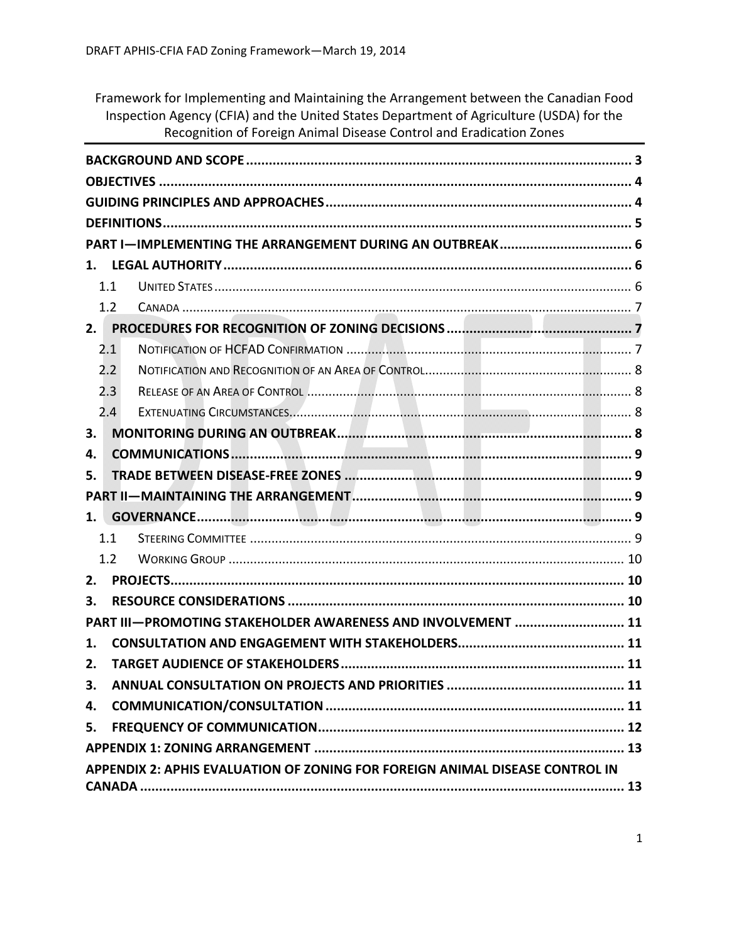Framework for Implementing and Maintaining the Arrangement between the Canadian Food Inspection Agency (CFIA) and the United States Department of Agriculture (USDA) for the Recognition of Foreign Animal Disease Control and Eradication Zones

| PART I-IMPLEMENTING THE ARRANGEMENT DURING AN OUTBREAK 6                     |  |  |  |
|------------------------------------------------------------------------------|--|--|--|
|                                                                              |  |  |  |
| 1.1                                                                          |  |  |  |
| 1.2                                                                          |  |  |  |
| 2.                                                                           |  |  |  |
| 2.1                                                                          |  |  |  |
| 2.2                                                                          |  |  |  |
| 2.3                                                                          |  |  |  |
| 2.4                                                                          |  |  |  |
| 3.                                                                           |  |  |  |
| 4.                                                                           |  |  |  |
| 5.                                                                           |  |  |  |
|                                                                              |  |  |  |
| 1. I                                                                         |  |  |  |
| 1.1                                                                          |  |  |  |
| 1.2                                                                          |  |  |  |
| 2.                                                                           |  |  |  |
| З.                                                                           |  |  |  |
| PART III-PROMOTING STAKEHOLDER AWARENESS AND INVOLVEMENT  11                 |  |  |  |
| 1.                                                                           |  |  |  |
| 2.                                                                           |  |  |  |
| З.                                                                           |  |  |  |
| 4.                                                                           |  |  |  |
| 5.                                                                           |  |  |  |
|                                                                              |  |  |  |
| APPENDIX 2: APHIS EVALUATION OF ZONING FOR FOREIGN ANIMAL DISEASE CONTROL IN |  |  |  |
|                                                                              |  |  |  |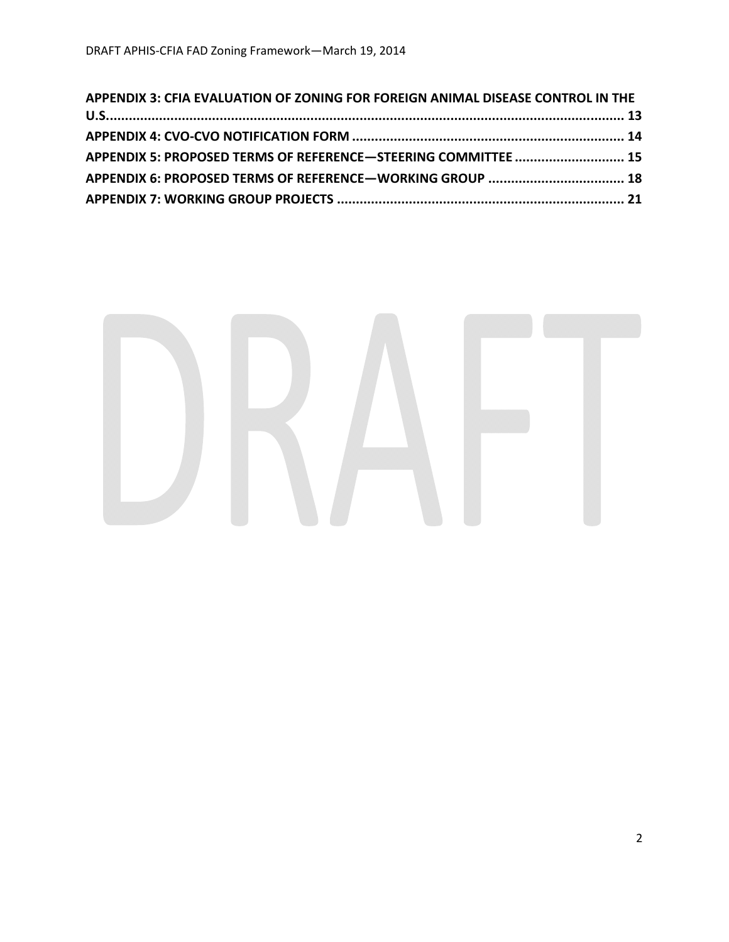| APPENDIX 3: CFIA EVALUATION OF ZONING FOR FOREIGN ANIMAL DISEASE CONTROL IN THE |  |
|---------------------------------------------------------------------------------|--|
|                                                                                 |  |
|                                                                                 |  |
| APPENDIX 5: PROPOSED TERMS OF REFERENCE-STEERING COMMITTEE  15                  |  |
|                                                                                 |  |
|                                                                                 |  |

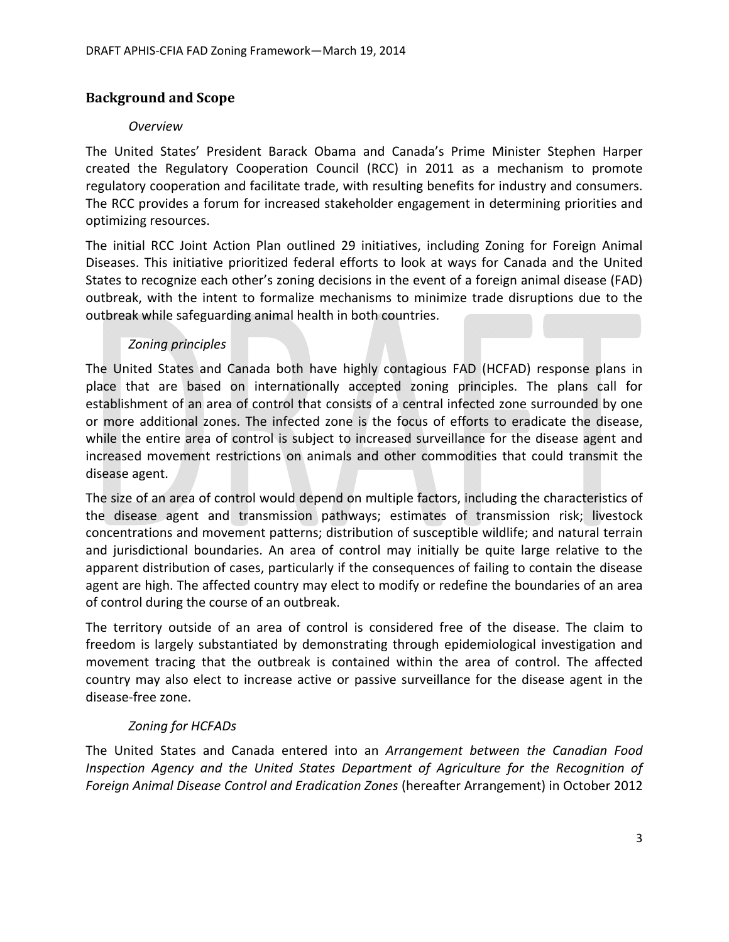# **Background and Scope**

## *Overview*

The United States' President Barack Obama and Canada's Prime Minister Stephen Harper created the Regulatory Cooperation Council (RCC) in 2011 as a mechanism to promote regulatory cooperation and facilitate trade, with resulting benefits for industry and consumers. The RCC provides a forum for increased stakeholder engagement in determining priorities and optimizing resources.

The initial RCC Joint Action Plan outlined 29 initiatives, including Zoning for Foreign Animal Diseases. This initiative prioritized federal efforts to look at ways for Canada and the United States to recognize each other's zoning decisions in the event of a foreign animal disease (FAD) outbreak, with the intent to formalize mechanisms to minimize trade disruptions due to the outbreak while safeguarding animal health in both countries.

## *Zoning principles*

The United States and Canada both have highly contagious FAD (HCFAD) response plans in place that are based on internationally accepted zoning principles. The plans call for establishment of an area of control that consists of a central infected zone surrounded by one or more additional zones. The infected zone is the focus of efforts to eradicate the disease, while the entire area of control is subject to increased surveillance for the disease agent and increased movement restrictions on animals and other commodities that could transmit the disease agent.

The size of an area of control would depend on multiple factors, including the characteristics of the disease agent and transmission pathways; estimates of transmission risk; livestock concentrations and movement patterns; distribution of susceptible wildlife; and natural terrain and jurisdictional boundaries. An area of control may initially be quite large relative to the apparent distribution of cases, particularly if the consequences of failing to contain the disease agent are high. The affected country may elect to modify or redefine the boundaries of an area of control during the course of an outbreak.

The territory outside of an area of control is considered free of the disease. The claim to freedom is largely substantiated by demonstrating through epidemiological investigation and movement tracing that the outbreak is contained within the area of control. The affected country may also elect to increase active or passive surveillance for the disease agent in the disease‐free zone.

# *Zoning for HCFADs*

The United States and Canada entered into an *Arrangement between the Canadian Food Inspection Agency and the United States Department of Agriculture for the Recognition of Foreign Animal Disease Control and Eradication Zones* (hereafter Arrangement) in October 2012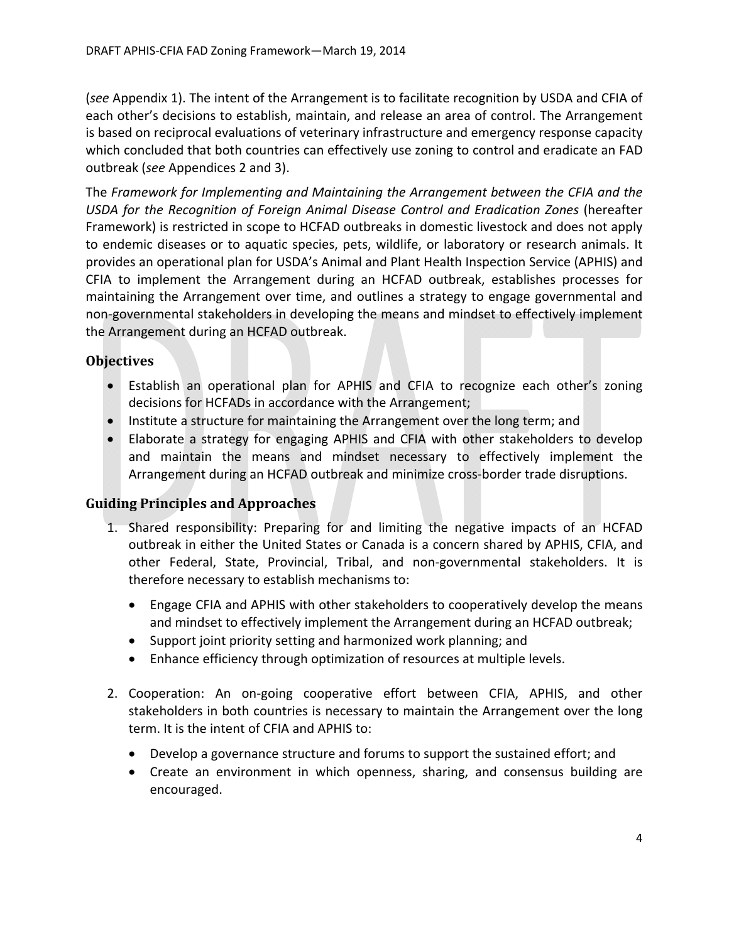(*see* Appendix 1). The intent of the Arrangement is to facilitate recognition by USDA and CFIA of each other's decisions to establish, maintain, and release an area of control. The Arrangement is based on reciprocal evaluations of veterinary infrastructure and emergency response capacity which concluded that both countries can effectively use zoning to control and eradicate an FAD outbreak (*see* Appendices 2 and 3).

The *Framework for Implementing and Maintaining the Arrangement between the CFIA and the USDA for the Recognition of Foreign Animal Disease Control and Eradication Zones* (hereafter Framework) is restricted in scope to HCFAD outbreaks in domestic livestock and does not apply to endemic diseases or to aquatic species, pets, wildlife, or laboratory or research animals. It provides an operational plan for USDA's Animal and Plant Health Inspection Service (APHIS) and CFIA to implement the Arrangement during an HCFAD outbreak, establishes processes for maintaining the Arrangement over time, and outlines a strategy to engage governmental and non‐governmental stakeholders in developing the means and mindset to effectively implement the Arrangement during an HCFAD outbreak.

## **Objectives**

- Establish an operational plan for APHIS and CFIA to recognize each other's zoning decisions for HCFADs in accordance with the Arrangement;
- Institute a structure for maintaining the Arrangement over the long term; and
- Elaborate a strategy for engaging APHIS and CFIA with other stakeholders to develop and maintain the means and mindset necessary to effectively implement the Arrangement during an HCFAD outbreak and minimize cross‐border trade disruptions.

# **Guiding Principles and Approaches**

- 1. Shared responsibility: Preparing for and limiting the negative impacts of an HCFAD outbreak in either the United States or Canada is a concern shared by APHIS, CFIA, and other Federal, State, Provincial, Tribal, and non‐governmental stakeholders. It is therefore necessary to establish mechanisms to:
	- Engage CFIA and APHIS with other stakeholders to cooperatively develop the means and mindset to effectively implement the Arrangement during an HCFAD outbreak;
	- Support joint priority setting and harmonized work planning; and
	- Enhance efficiency through optimization of resources at multiple levels.
- 2. Cooperation: An on‐going cooperative effort between CFIA, APHIS, and other stakeholders in both countries is necessary to maintain the Arrangement over the long term. It is the intent of CFIA and APHIS to:
	- Develop a governance structure and forums to support the sustained effort; and
	- Create an environment in which openness, sharing, and consensus building are encouraged.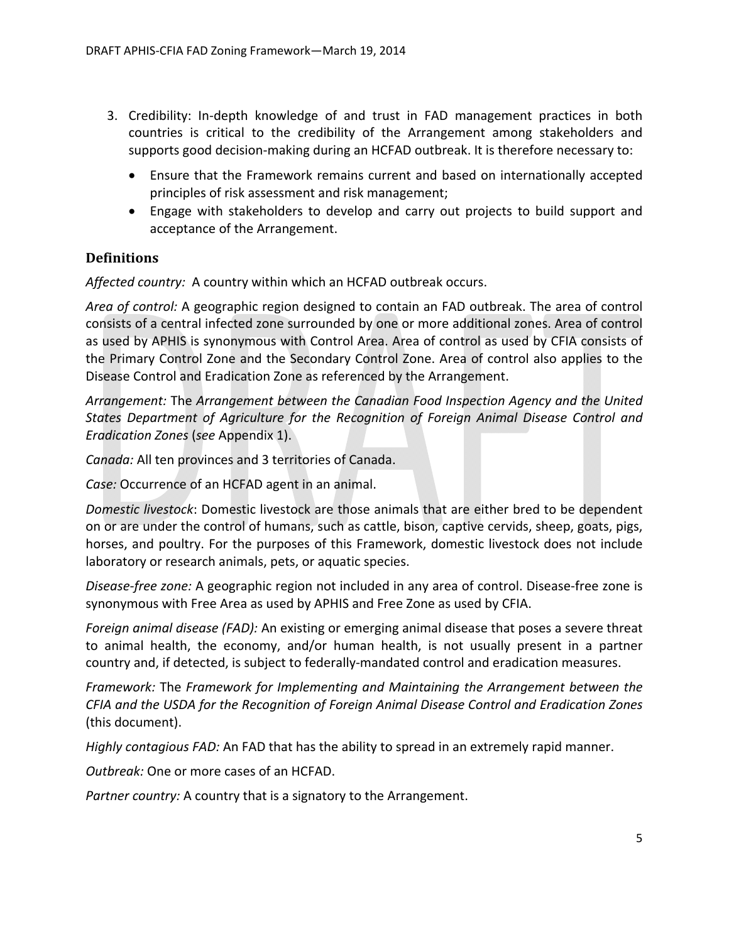- 3. Credibility: In‐depth knowledge of and trust in FAD management practices in both countries is critical to the credibility of the Arrangement among stakeholders and supports good decision-making during an HCFAD outbreak. It is therefore necessary to:
	- Ensure that the Framework remains current and based on internationally accepted principles of risk assessment and risk management;
	- Engage with stakeholders to develop and carry out projects to build support and acceptance of the Arrangement.

# **Definitions**

*Affected country:* A country within which an HCFAD outbreak occurs.

*Area of control:* A geographic region designed to contain an FAD outbreak. The area of control consists of a central infected zone surrounded by one or more additional zones. Area of control as used by APHIS is synonymous with Control Area. Area of control as used by CFIA consists of the Primary Control Zone and the Secondary Control Zone. Area of control also applies to the Disease Control and Eradication Zone as referenced by the Arrangement.

*Arrangement:* The *Arrangement between the Canadian Food Inspection Agency and the United States Department of Agriculture for the Recognition of Foreign Animal Disease Control and Eradication Zones* (*see* Appendix 1).

*Canada:* All ten provinces and 3 territories of Canada.

*Case:* Occurrence of an HCFAD agent in an animal.

*Domestic livestock*: Domestic livestock are those animals that are either bred to be dependent on or are under the control of humans, such as cattle, bison, captive cervids, sheep, goats, pigs, horses, and poultry. For the purposes of this Framework, domestic livestock does not include laboratory or research animals, pets, or aquatic species.

*Disease‐free zone:* A geographic region not included in any area of control. Disease‐free zone is synonymous with Free Area as used by APHIS and Free Zone as used by CFIA.

*Foreign animal disease (FAD):* An existing or emerging animal disease that poses a severe threat to animal health, the economy, and/or human health, is not usually present in a partner country and, if detected, is subject to federally‐mandated control and eradication measures.

*Framework:* The *Framework for Implementing and Maintaining the Arrangement between the CFIA and the USDA for the Recognition of Foreign Animal Disease Control and Eradication Zones* (this document).

*Highly contagious FAD:* An FAD that has the ability to spread in an extremely rapid manner.

*Outbreak:* One or more cases of an HCFAD.

*Partner country:* A country that is a signatory to the Arrangement.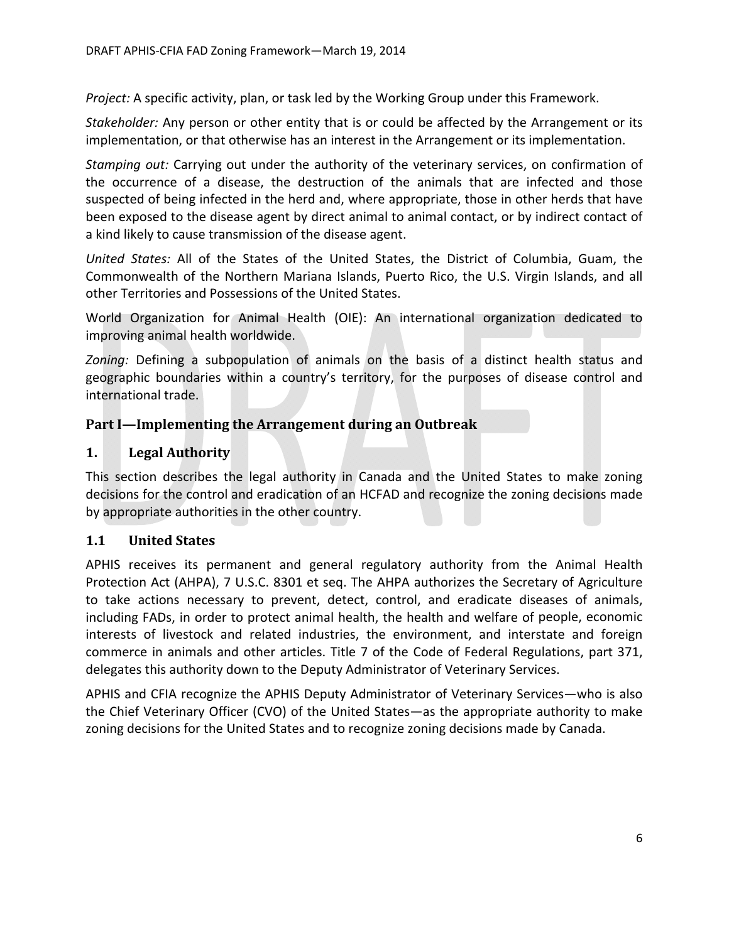*Project:* A specific activity, plan, or task led by the Working Group under this Framework.

*Stakeholder:* Any person or other entity that is or could be affected by the Arrangement or its implementation, or that otherwise has an interest in the Arrangement or its implementation.

*Stamping out:* Carrying out under the authority of the veterinary services, on confirmation of the occurrence of a disease, the destruction of the animals that are infected and those suspected of being infected in the herd and, where appropriate, those in other herds that have been exposed to the disease agent by direct animal to animal contact, or by indirect contact of a kind likely to cause transmission of the disease agent.

*United States:* All of the States of the United States, the District of Columbia, Guam, the Commonwealth of the Northern Mariana Islands, Puerto Rico, the U.S. Virgin Islands, and all other Territories and Possessions of the United States.

World Organization for Animal Health (OIE): An international organization dedicated to improving animal health worldwide.

*Zoning:* Defining a subpopulation of animals on the basis of a distinct health status and geographic boundaries within a country's territory, for the purposes of disease control and international trade.

### **Part I—Implementing the Arrangement during an Outbreak**

### **1. Legal Authority**

This section describes the legal authority in Canada and the United States to make zoning decisions for the control and eradication of an HCFAD and recognize the zoning decisions made by appropriate authorities in the other country.

## **1.1 United States**

APHIS receives its permanent and general regulatory authority from the Animal Health Protection Act (AHPA), 7 U.S.C. 8301 et seq. The AHPA authorizes the Secretary of Agriculture to take actions necessary to prevent, detect, control, and eradicate diseases of animals, including FADs, in order to protect animal health, the health and welfare of people, economic interests of livestock and related industries, the environment, and interstate and foreign commerce in animals and other articles. Title 7 of the Code of Federal Regulations, part 371, delegates this authority down to the Deputy Administrator of Veterinary Services.

APHIS and CFIA recognize the APHIS Deputy Administrator of Veterinary Services—who is also the Chief Veterinary Officer (CVO) of the United States—as the appropriate authority to make zoning decisions for the United States and to recognize zoning decisions made by Canada.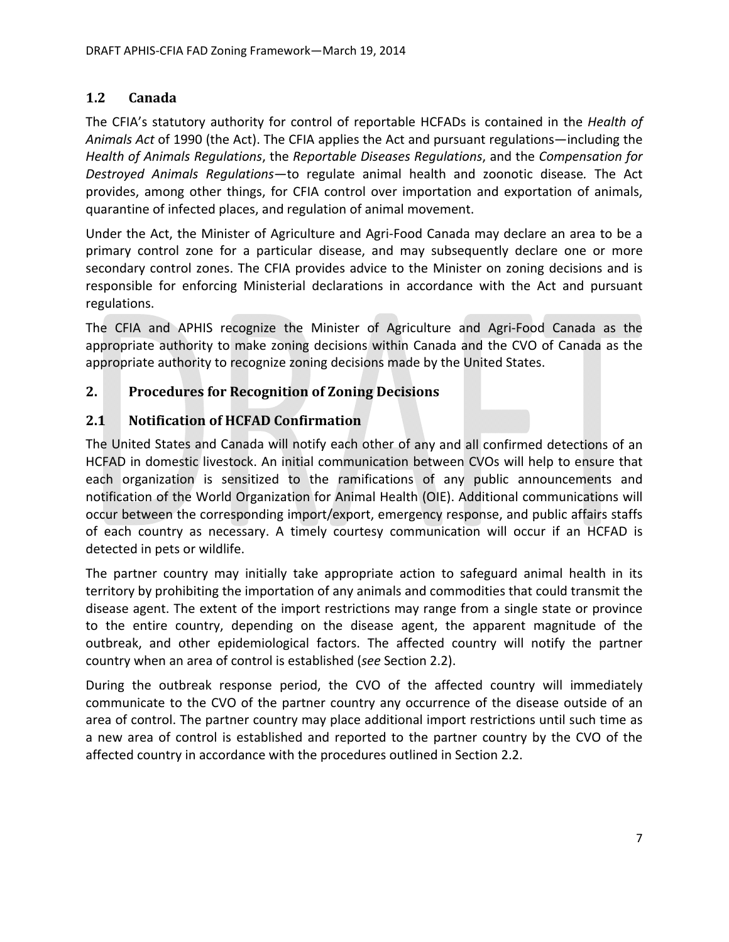# **1.2 Canada**

The CFIA's statutory authority for control of reportable HCFADs is contained in the *Health of Animals Act* of 1990 (the Act). The CFIA applies the Act and pursuant regulations—including the *Health of Animals Regulations*, the *Reportable Diseases Regulations*, and the *Compensation for Destroyed Animals Regulations*—to regulate animal health and zoonotic disease*.* The Act provides, among other things, for CFIA control over importation and exportation of animals, quarantine of infected places, and regulation of animal movement.

Under the Act, the Minister of Agriculture and Agri‐Food Canada may declare an area to be a primary control zone for a particular disease, and may subsequently declare one or more secondary control zones. The CFIA provides advice to the Minister on zoning decisions and is responsible for enforcing Ministerial declarations in accordance with the Act and pursuant regulations.

The CFIA and APHIS recognize the Minister of Agriculture and Agri‐Food Canada as the appropriate authority to make zoning decisions within Canada and the CVO of Canada as the appropriate authority to recognize zoning decisions made by the United States.

# **2. Procedures for Recognition of Zoning Decisions**

## **2.1 Notification of HCFAD Confirmation**

The United States and Canada will notify each other of any and all confirmed detections of an HCFAD in domestic livestock. An initial communication between CVOs will help to ensure that each organization is sensitized to the ramifications of any public announcements and notification of the World Organization for Animal Health (OIE). Additional communications will occur between the corresponding import/export, emergency response, and public affairs staffs of each country as necessary. A timely courtesy communication will occur if an HCFAD is detected in pets or wildlife.

The partner country may initially take appropriate action to safeguard animal health in its territory by prohibiting the importation of any animals and commodities that could transmit the disease agent. The extent of the import restrictions may range from a single state or province to the entire country, depending on the disease agent, the apparent magnitude of the outbreak, and other epidemiological factors. The affected country will notify the partner country when an area of control is established (*see* Section 2.2).

During the outbreak response period, the CVO of the affected country will immediately communicate to the CVO of the partner country any occurrence of the disease outside of an area of control. The partner country may place additional import restrictions until such time as a new area of control is established and reported to the partner country by the CVO of the affected country in accordance with the procedures outlined in Section 2.2.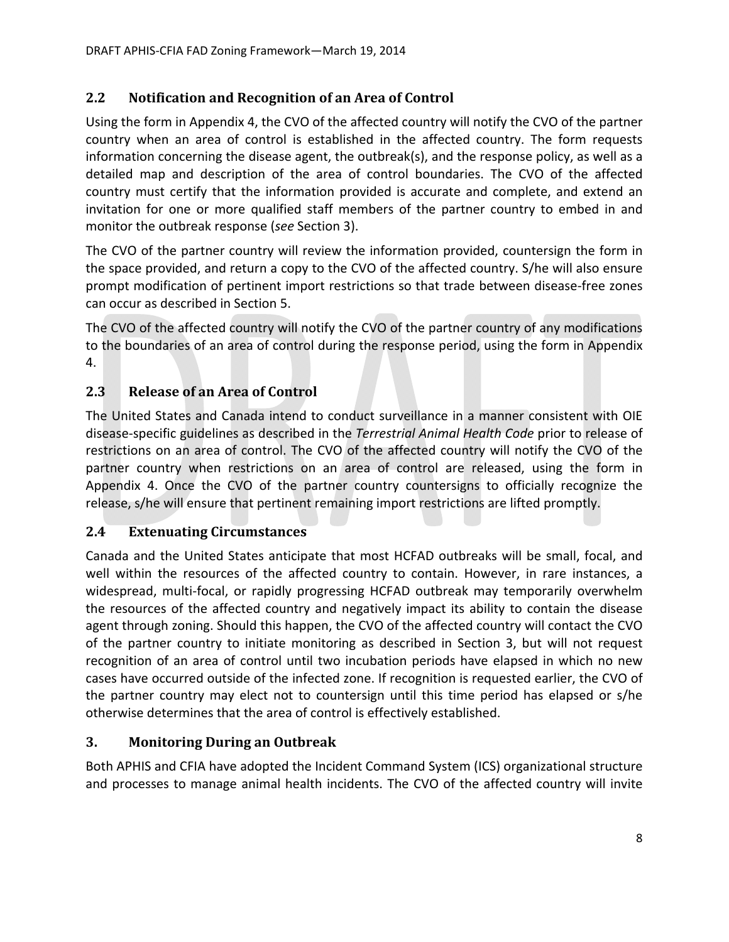# **2.2 Notification and Recognition of an Area of Control**

Using the form in Appendix 4, the CVO of the affected country will notify the CVO of the partner country when an area of control is established in the affected country. The form requests information concerning the disease agent, the outbreak(s), and the response policy, as well as a detailed map and description of the area of control boundaries. The CVO of the affected country must certify that the information provided is accurate and complete, and extend an invitation for one or more qualified staff members of the partner country to embed in and monitor the outbreak response (*see* Section 3).

The CVO of the partner country will review the information provided, countersign the form in the space provided, and return a copy to the CVO of the affected country. S/he will also ensure prompt modification of pertinent import restrictions so that trade between disease‐free zones can occur as described in Section 5.

The CVO of the affected country will notify the CVO of the partner country of any modifications to the boundaries of an area of control during the response period, using the form in Appendix 4.

# **2.3 Release of an Area of Control**

The United States and Canada intend to conduct surveillance in a manner consistent with OIE disease‐specific guidelines as described in the *Terrestrial Animal Health Code* prior to release of restrictions on an area of control. The CVO of the affected country will notify the CVO of the partner country when restrictions on an area of control are released, using the form in Appendix 4. Once the CVO of the partner country countersigns to officially recognize the release, s/he will ensure that pertinent remaining import restrictions are lifted promptly.

# **2.4 Extenuating Circumstances**

Canada and the United States anticipate that most HCFAD outbreaks will be small, focal, and well within the resources of the affected country to contain. However, in rare instances, a widespread, multi-focal, or rapidly progressing HCFAD outbreak may temporarily overwhelm the resources of the affected country and negatively impact its ability to contain the disease agent through zoning. Should this happen, the CVO of the affected country will contact the CVO of the partner country to initiate monitoring as described in Section 3, but will not request recognition of an area of control until two incubation periods have elapsed in which no new cases have occurred outside of the infected zone. If recognition is requested earlier, the CVO of the partner country may elect not to countersign until this time period has elapsed or s/he otherwise determines that the area of control is effectively established.

# **3. Monitoring During an Outbreak**

Both APHIS and CFIA have adopted the Incident Command System (ICS) organizational structure and processes to manage animal health incidents. The CVO of the affected country will invite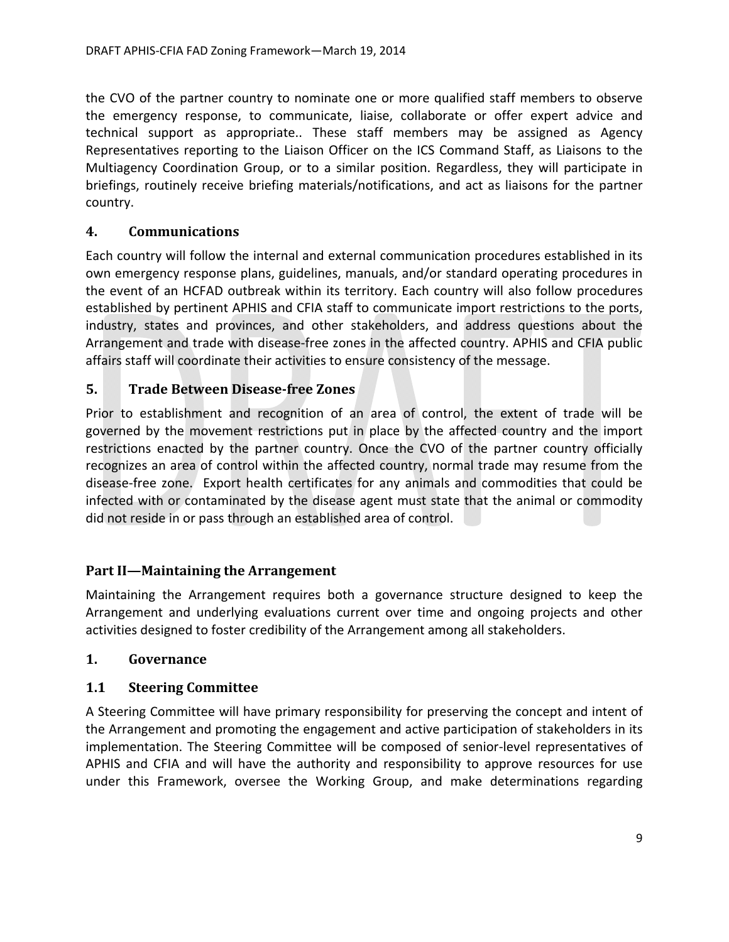the CVO of the partner country to nominate one or more qualified staff members to observe the emergency response, to communicate, liaise, collaborate or offer expert advice and technical support as appropriate.. These staff members may be assigned as Agency Representatives reporting to the Liaison Officer on the ICS Command Staff, as Liaisons to the Multiagency Coordination Group, or to a similar position. Regardless, they will participate in briefings, routinely receive briefing materials/notifications, and act as liaisons for the partner country.

## **4. Communications**

Each country will follow the internal and external communication procedures established in its own emergency response plans, guidelines, manuals, and/or standard operating procedures in the event of an HCFAD outbreak within its territory. Each country will also follow procedures established by pertinent APHIS and CFIA staff to communicate import restrictions to the ports, industry, states and provinces, and other stakeholders, and address questions about the Arrangement and trade with disease‐free zones in the affected country. APHIS and CFIA public affairs staff will coordinate their activities to ensure consistency of the message.

## **5. Trade Between Disease‐free Zones**

Prior to establishment and recognition of an area of control, the extent of trade will be governed by the movement restrictions put in place by the affected country and the import restrictions enacted by the partner country. Once the CVO of the partner country officially recognizes an area of control within the affected country, normal trade may resume from the disease‐free zone. Export health certificates for any animals and commodities that could be infected with or contaminated by the disease agent must state that the animal or commodity did not reside in or pass through an established area of control.

## **Part II—Maintaining the Arrangement**

Maintaining the Arrangement requires both a governance structure designed to keep the Arrangement and underlying evaluations current over time and ongoing projects and other activities designed to foster credibility of the Arrangement among all stakeholders.

### **1. Governance**

### **1.1 Steering Committee**

A Steering Committee will have primary responsibility for preserving the concept and intent of the Arrangement and promoting the engagement and active participation of stakeholders in its implementation. The Steering Committee will be composed of senior-level representatives of APHIS and CFIA and will have the authority and responsibility to approve resources for use under this Framework, oversee the Working Group, and make determinations regarding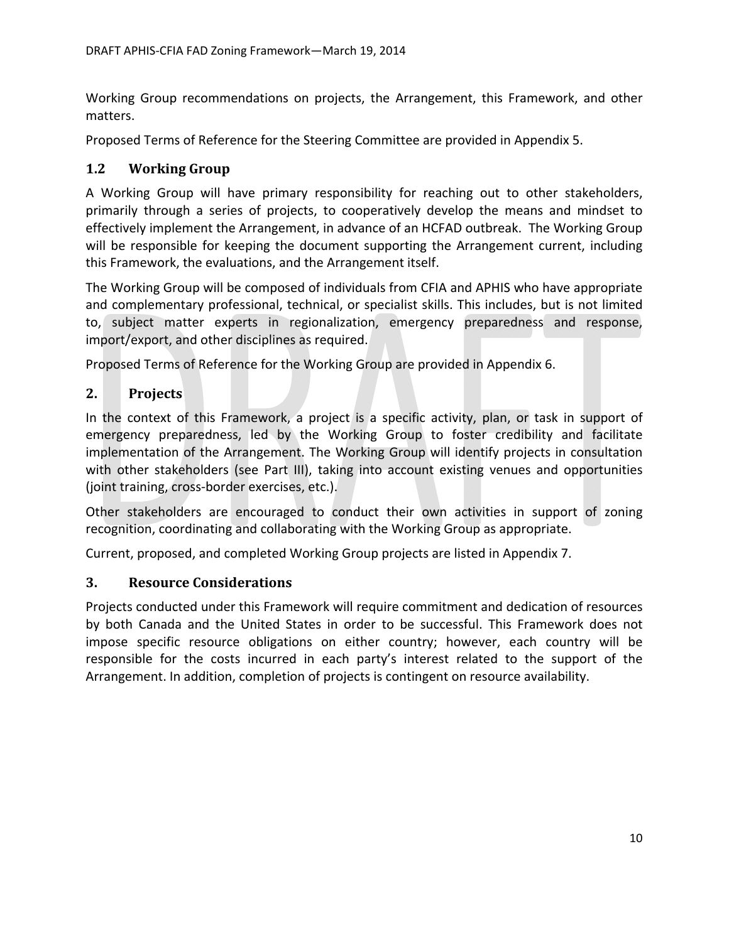Working Group recommendations on projects, the Arrangement, this Framework, and other matters.

Proposed Terms of Reference for the Steering Committee are provided in Appendix 5.

# **1.2 Working Group**

A Working Group will have primary responsibility for reaching out to other stakeholders, primarily through a series of projects, to cooperatively develop the means and mindset to effectively implement the Arrangement, in advance of an HCFAD outbreak. The Working Group will be responsible for keeping the document supporting the Arrangement current, including this Framework, the evaluations, and the Arrangement itself.

The Working Group will be composed of individuals from CFIA and APHIS who have appropriate and complementary professional, technical, or specialist skills. This includes, but is not limited to, subject matter experts in regionalization, emergency preparedness and response, import/export, and other disciplines as required.

Proposed Terms of Reference for the Working Group are provided in Appendix 6.

# **2. Projects**

In the context of this Framework, a project is a specific activity, plan, or task in support of emergency preparedness, led by the Working Group to foster credibility and facilitate implementation of the Arrangement. The Working Group will identify projects in consultation with other stakeholders (see Part III), taking into account existing venues and opportunities (joint training, cross‐border exercises, etc.).

Other stakeholders are encouraged to conduct their own activities in support of zoning recognition, coordinating and collaborating with the Working Group as appropriate.

Current, proposed, and completed Working Group projects are listed in Appendix 7.

## **3. Resource Considerations**

Projects conducted under this Framework will require commitment and dedication of resources by both Canada and the United States in order to be successful. This Framework does not impose specific resource obligations on either country; however, each country will be responsible for the costs incurred in each party's interest related to the support of the Arrangement. In addition, completion of projects is contingent on resource availability.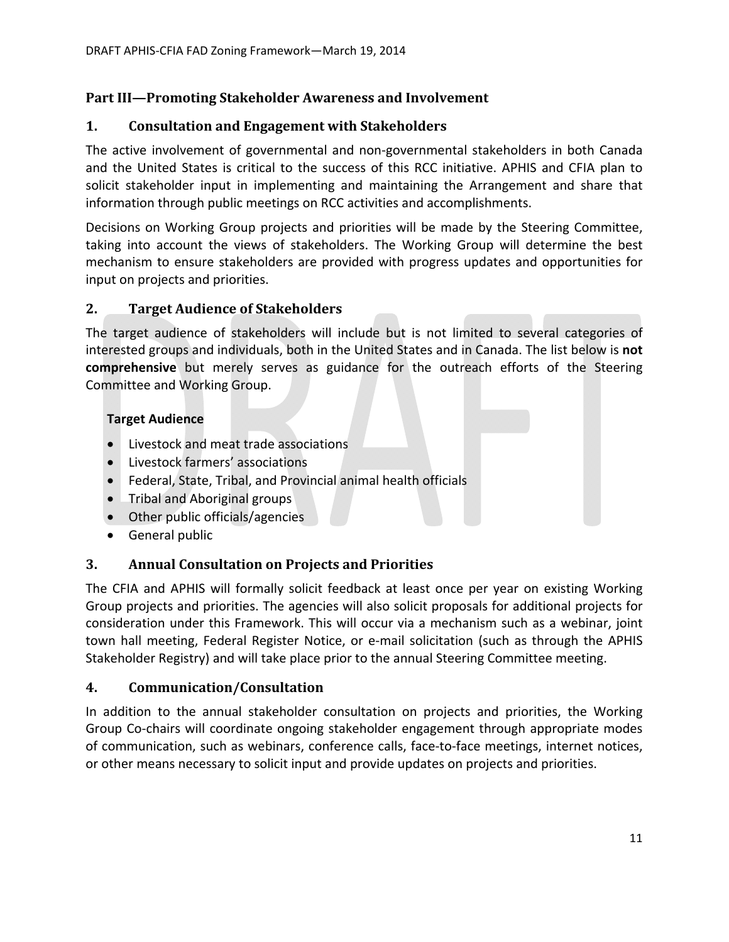# **Part III—Promoting Stakeholder Awareness and Involvement**

## **1. Consultation and Engagement with Stakeholders**

The active involvement of governmental and non‐governmental stakeholders in both Canada and the United States is critical to the success of this RCC initiative. APHIS and CFIA plan to solicit stakeholder input in implementing and maintaining the Arrangement and share that information through public meetings on RCC activities and accomplishments.

Decisions on Working Group projects and priorities will be made by the Steering Committee, taking into account the views of stakeholders. The Working Group will determine the best mechanism to ensure stakeholders are provided with progress updates and opportunities for input on projects and priorities.

## **2. Target Audience of Stakeholders**

The target audience of stakeholders will include but is not limited to several categories of interested groups and individuals, both in the United States and in Canada. The list below is **not comprehensive** but merely serves as guidance for the outreach efforts of the Steering Committee and Working Group.

## **Target Audience**

- Livestock and meat trade associations
- Livestock farmers' associations
- Federal, State, Tribal, and Provincial animal health officials
- Tribal and Aboriginal groups
- Other public officials/agencies
- General public

## **3. Annual Consultation on Projects and Priorities**

The CFIA and APHIS will formally solicit feedback at least once per year on existing Working Group projects and priorities. The agencies will also solicit proposals for additional projects for consideration under this Framework. This will occur via a mechanism such as a webinar, joint town hall meeting, Federal Register Notice, or e‐mail solicitation (such as through the APHIS Stakeholder Registry) and will take place prior to the annual Steering Committee meeting.

## **4. Communication/Consultation**

In addition to the annual stakeholder consultation on projects and priorities, the Working Group Co‐chairs will coordinate ongoing stakeholder engagement through appropriate modes of communication, such as webinars, conference calls, face-to-face meetings, internet notices, or other means necessary to solicit input and provide updates on projects and priorities.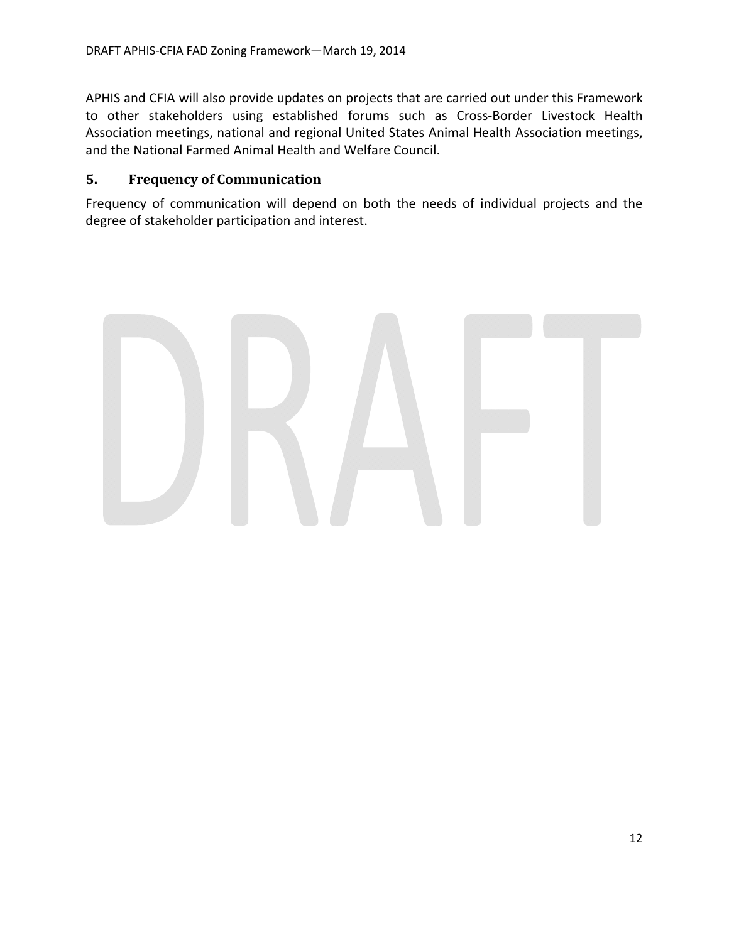APHIS and CFIA will also provide updates on projects that are carried out under this Framework to other stakeholders using established forums such as Cross‐Border Livestock Health Association meetings, national and regional United States Animal Health Association meetings, and the National Farmed Animal Health and Welfare Council.

## **5. Frequency of Communication**

Frequency of communication will depend on both the needs of individual projects and the degree of stakeholder participation and interest.

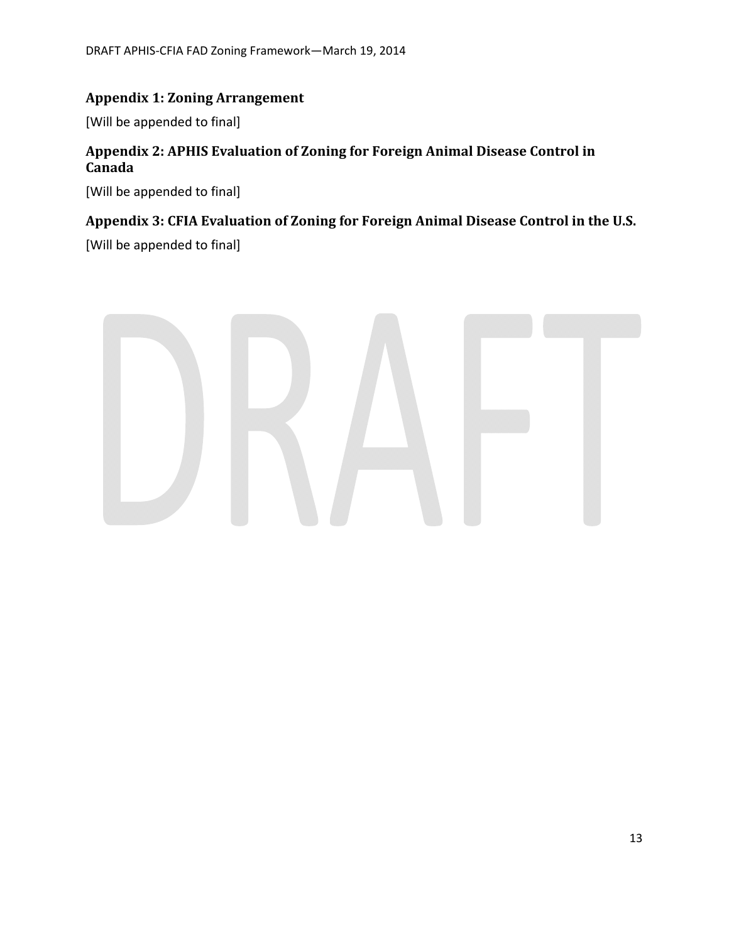## **Appendix 1: Zoning Arrangement**

[Will be appended to final]

## **Appendix 2: APHIS Evaluation of Zoning for Foreign Animal Disease Control in Canada**

[Will be appended to final]

# **Appendix 3: CFIA Evaluation of Zoning for Foreign Animal Disease Control in the U.S.**

[Will be appended to final]

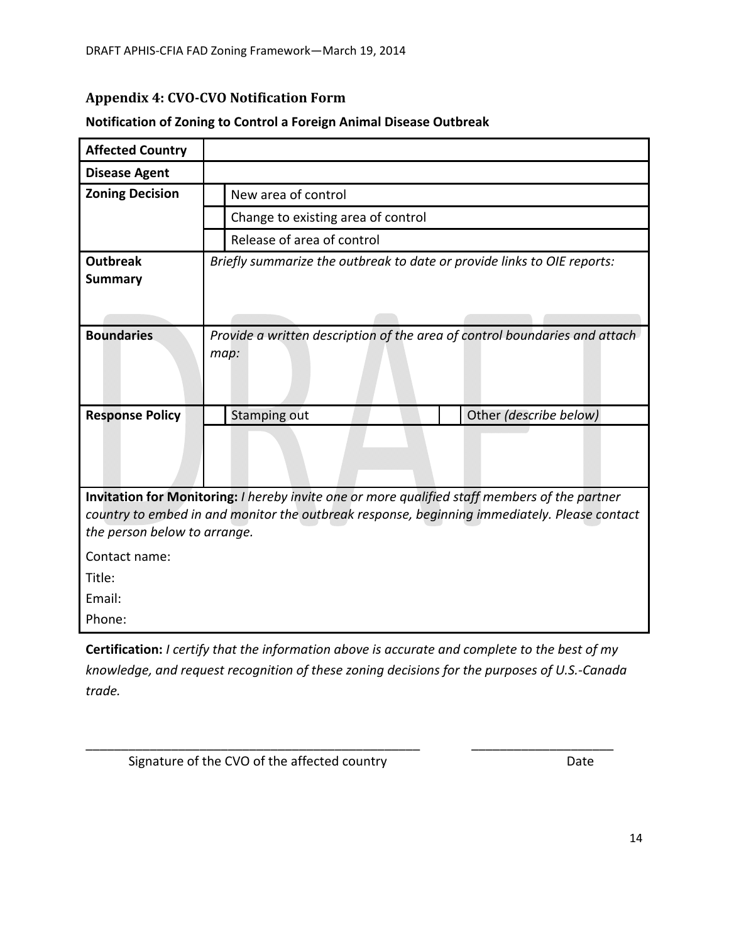# **Appendix 4: CVO‐CVO Notification Form**

| <b>Affected Country</b>                                                                                                                                                                                                       |                                                                                    |  |
|-------------------------------------------------------------------------------------------------------------------------------------------------------------------------------------------------------------------------------|------------------------------------------------------------------------------------|--|
| <b>Disease Agent</b>                                                                                                                                                                                                          |                                                                                    |  |
| <b>Zoning Decision</b>                                                                                                                                                                                                        | New area of control                                                                |  |
|                                                                                                                                                                                                                               | Change to existing area of control                                                 |  |
|                                                                                                                                                                                                                               | Release of area of control                                                         |  |
| <b>Outbreak</b><br><b>Summary</b>                                                                                                                                                                                             | Briefly summarize the outbreak to date or provide links to OIE reports:            |  |
| <b>Boundaries</b>                                                                                                                                                                                                             | Provide a written description of the area of control boundaries and attach<br>map: |  |
| <b>Response Policy</b>                                                                                                                                                                                                        | Other (describe below)<br><b>Stamping out</b>                                      |  |
|                                                                                                                                                                                                                               |                                                                                    |  |
| Invitation for Monitoring: I hereby invite one or more qualified staff members of the partner<br>country to embed in and monitor the outbreak response, beginning immediately. Please contact<br>the person below to arrange. |                                                                                    |  |
| Contact name:                                                                                                                                                                                                                 |                                                                                    |  |
| Title:                                                                                                                                                                                                                        |                                                                                    |  |
| Email:                                                                                                                                                                                                                        |                                                                                    |  |
| Phone:                                                                                                                                                                                                                        |                                                                                    |  |

### **Notification of Zoning to Control a Foreign Animal Disease Outbreak**

**Certification:** *I certify that the information above is accurate and complete to the best of my knowledge, and request recognition of these zoning decisions for the purposes of U.S.‐Canada trade.* 

\_\_\_\_\_\_\_\_\_\_\_\_\_\_\_\_\_\_\_\_\_\_\_\_\_\_\_\_\_\_\_\_\_\_\_\_\_\_\_\_\_\_\_\_\_\_\_ \_\_\_\_\_\_\_\_\_\_\_\_\_\_\_\_\_\_\_\_

Signature of the CVO of the affected country **Signature of the CVO** of the affected country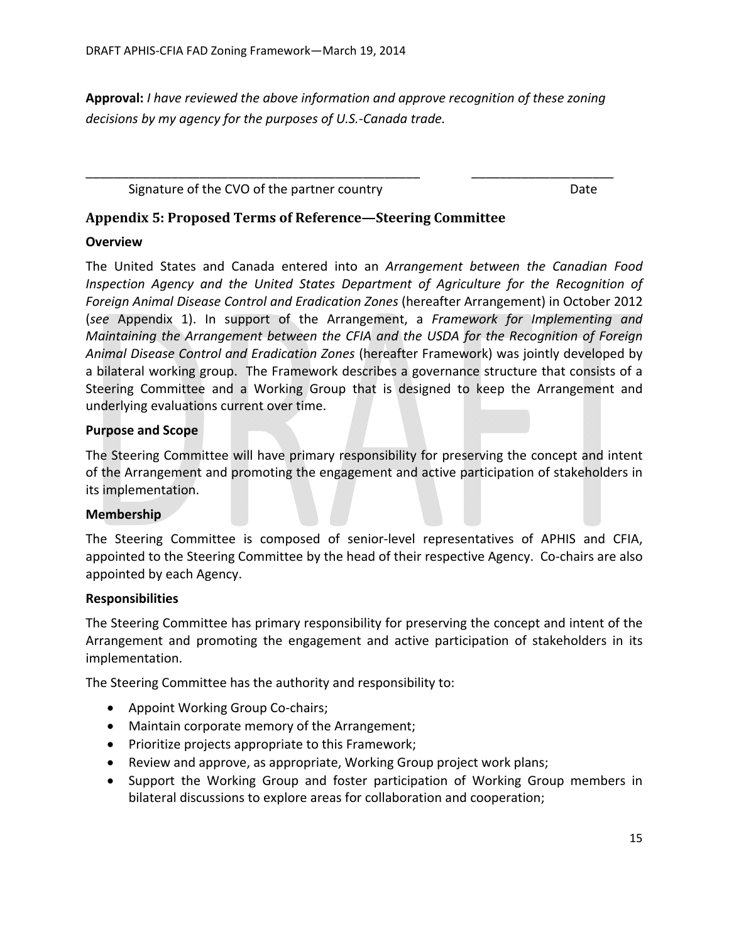**Approval:** *I have reviewed the above information and approve recognition of these zoning decisions by my agency for the purposes of U.S.‐Canada trade.* 

\_\_\_\_\_\_\_\_\_\_\_\_\_\_\_\_\_\_\_\_\_\_\_\_\_\_\_\_\_\_\_\_\_\_\_\_\_\_\_\_\_\_\_\_\_\_\_ \_\_\_\_\_\_\_\_\_\_\_\_\_\_\_\_\_\_\_\_

Signature of the CVO of the partner country **Signature COV** Date

## **Appendix 5: Proposed Terms of Reference—Steering Committee**

### **Overview**

The United States and Canada entered into an *Arrangement between the Canadian Food Inspection Agency and the United States Department of Agriculture for the Recognition of Foreign Animal Disease Control and Eradication Zones* (hereafter Arrangement) in October 2012 (*see* Appendix 1). In support of the Arrangement, a *Framework for Implementing and Maintaining the Arrangement between the CFIA and the USDA for the Recognition of Foreign Animal Disease Control and Eradication Zones* (hereafter Framework) was jointly developed by a bilateral working group. The Framework describes a governance structure that consists of a Steering Committee and a Working Group that is designed to keep the Arrangement and underlying evaluations current over time.

### **Purpose and Scope**

The Steering Committee will have primary responsibility for preserving the concept and intent of the Arrangement and promoting the engagement and active participation of stakeholders in its implementation.

#### **Membership**

The Steering Committee is composed of senior-level representatives of APHIS and CFIA, appointed to the Steering Committee by the head of their respective Agency. Co-chairs are also appointed by each Agency.

### **Responsibilities**

The Steering Committee has primary responsibility for preserving the concept and intent of the Arrangement and promoting the engagement and active participation of stakeholders in its implementation.

The Steering Committee has the authority and responsibility to:

- Appoint Working Group Co-chairs;
- Maintain corporate memory of the Arrangement;
- Prioritize projects appropriate to this Framework;
- Review and approve, as appropriate, Working Group project work plans;
- Support the Working Group and foster participation of Working Group members in bilateral discussions to explore areas for collaboration and cooperation;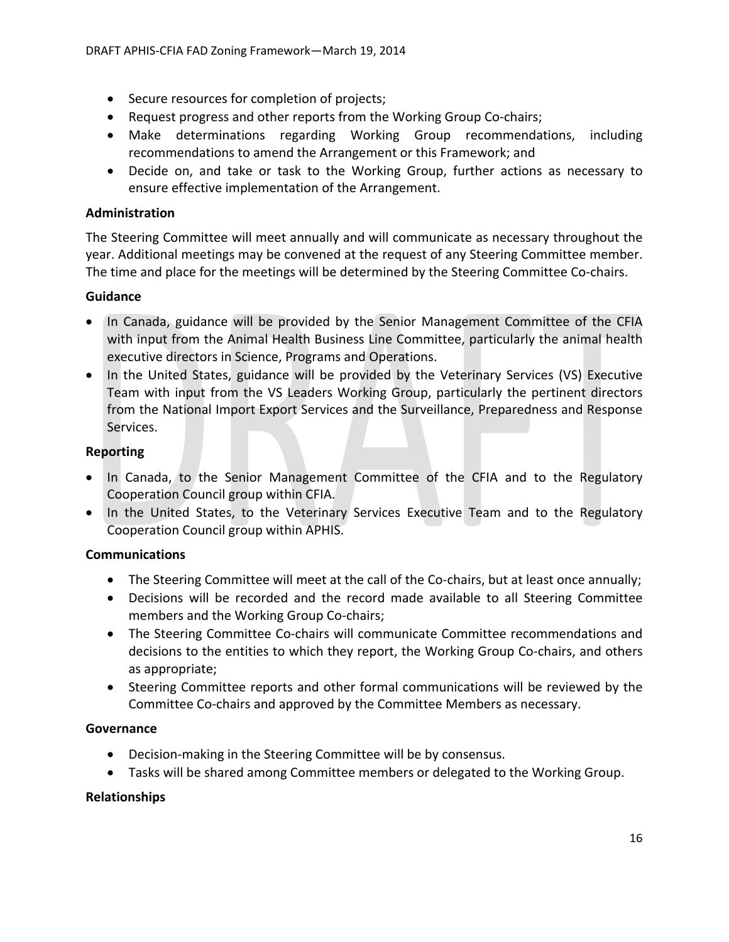- Secure resources for completion of projects;
- Request progress and other reports from the Working Group Co-chairs;
- Make determinations regarding Working Group recommendations, including recommendations to amend the Arrangement or this Framework; and
- Decide on, and take or task to the Working Group, further actions as necessary to ensure effective implementation of the Arrangement.

### **Administration**

The Steering Committee will meet annually and will communicate as necessary throughout the year. Additional meetings may be convened at the request of any Steering Committee member. The time and place for the meetings will be determined by the Steering Committee Co-chairs.

### **Guidance**

- In Canada, guidance will be provided by the Senior Management Committee of the CFIA with input from the Animal Health Business Line Committee, particularly the animal health executive directors in Science, Programs and Operations.
- In the United States, guidance will be provided by the Veterinary Services (VS) Executive Team with input from the VS Leaders Working Group, particularly the pertinent directors from the National Import Export Services and the Surveillance, Preparedness and Response Services.

### **Reporting**

- In Canada, to the Senior Management Committee of the CFIA and to the Regulatory Cooperation Council group within CFIA.
- In the United States, to the Veterinary Services Executive Team and to the Regulatory Cooperation Council group within APHIS.

## **Communications**

- The Steering Committee will meet at the call of the Co-chairs, but at least once annually;
- Decisions will be recorded and the record made available to all Steering Committee members and the Working Group Co-chairs;
- The Steering Committee Co-chairs will communicate Committee recommendations and decisions to the entities to which they report, the Working Group Co-chairs, and others as appropriate;
- Steering Committee reports and other formal communications will be reviewed by the Committee Co‐chairs and approved by the Committee Members as necessary.

### **Governance**

- Decision‐making in the Steering Committee will be by consensus.
- Tasks will be shared among Committee members or delegated to the Working Group.

### **Relationships**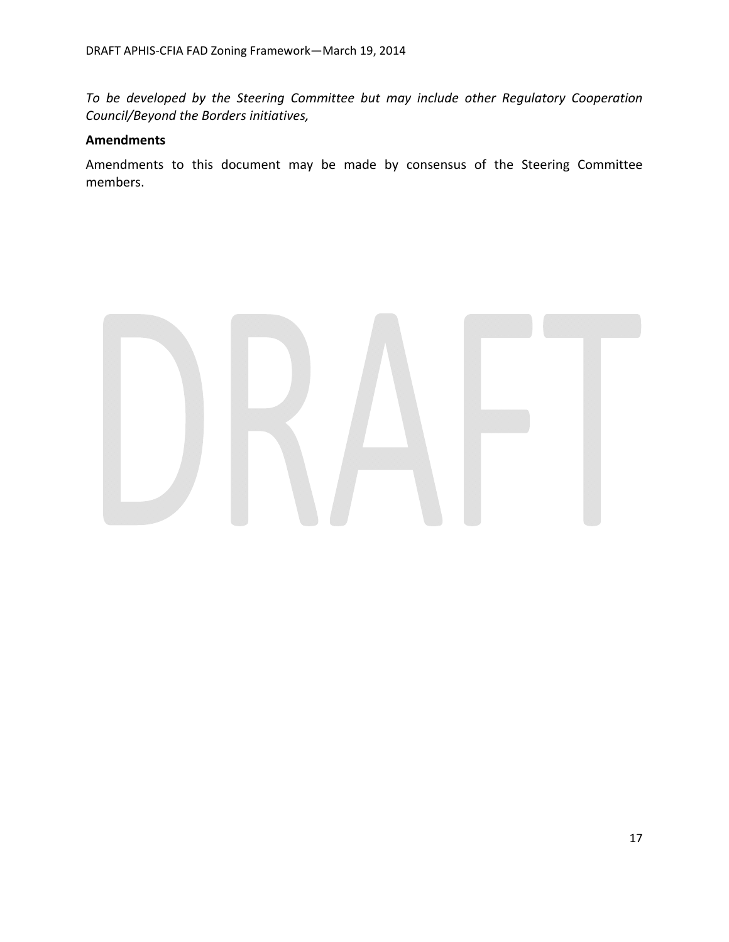*To be developed by the Steering Committee but may include other Regulatory Cooperation Council/Beyond the Borders initiatives,* 

### **Amendments**

Amendments to this document may be made by consensus of the Steering Committee members.

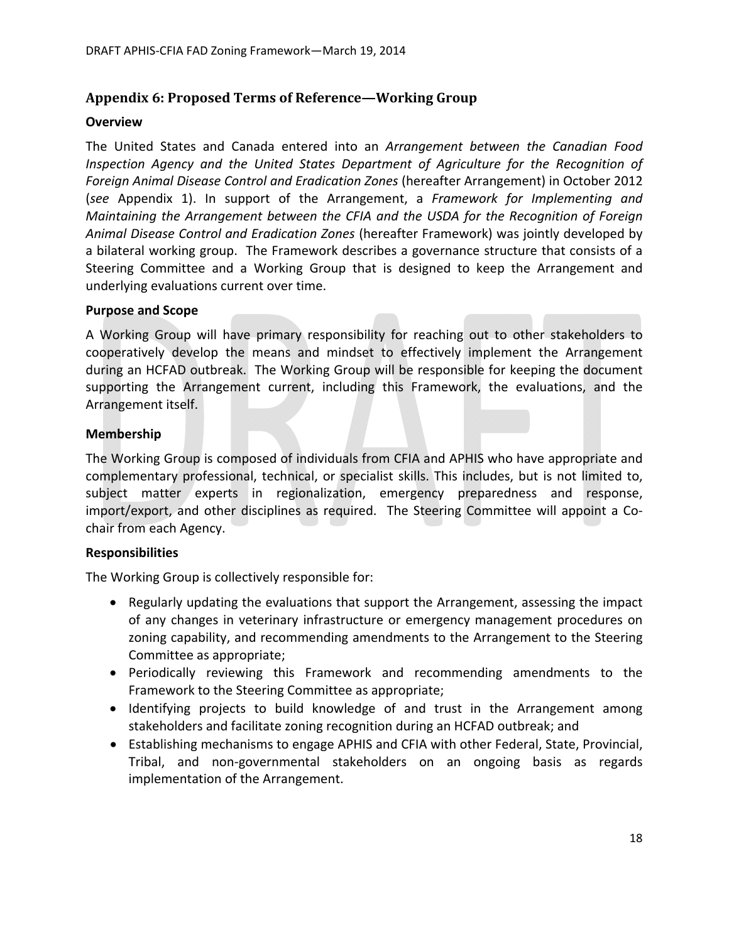## **Appendix 6: Proposed Terms of Reference—Working Group**

### **Overview**

The United States and Canada entered into an *Arrangement between the Canadian Food Inspection Agency and the United States Department of Agriculture for the Recognition of Foreign Animal Disease Control and Eradication Zones* (hereafter Arrangement) in October 2012 (*see* Appendix 1). In support of the Arrangement, a *Framework for Implementing and Maintaining the Arrangement between the CFIA and the USDA for the Recognition of Foreign Animal Disease Control and Eradication Zones* (hereafter Framework) was jointly developed by a bilateral working group. The Framework describes a governance structure that consists of a Steering Committee and a Working Group that is designed to keep the Arrangement and underlying evaluations current over time.

### **Purpose and Scope**

A Working Group will have primary responsibility for reaching out to other stakeholders to cooperatively develop the means and mindset to effectively implement the Arrangement during an HCFAD outbreak. The Working Group will be responsible for keeping the document supporting the Arrangement current, including this Framework, the evaluations, and the Arrangement itself.

### **Membership**

The Working Group is composed of individuals from CFIA and APHIS who have appropriate and complementary professional, technical, or specialist skills. This includes, but is not limited to, subject matter experts in regionalization, emergency preparedness and response, import/export, and other disciplines as required. The Steering Committee will appoint a Cochair from each Agency.

### **Responsibilities**

The Working Group is collectively responsible for:

- Regularly updating the evaluations that support the Arrangement, assessing the impact of any changes in veterinary infrastructure or emergency management procedures on zoning capability, and recommending amendments to the Arrangement to the Steering Committee as appropriate;
- Periodically reviewing this Framework and recommending amendments to the Framework to the Steering Committee as appropriate;
- Identifying projects to build knowledge of and trust in the Arrangement among stakeholders and facilitate zoning recognition during an HCFAD outbreak; and
- Establishing mechanisms to engage APHIS and CFIA with other Federal, State, Provincial, Tribal, and non‐governmental stakeholders on an ongoing basis as regards implementation of the Arrangement.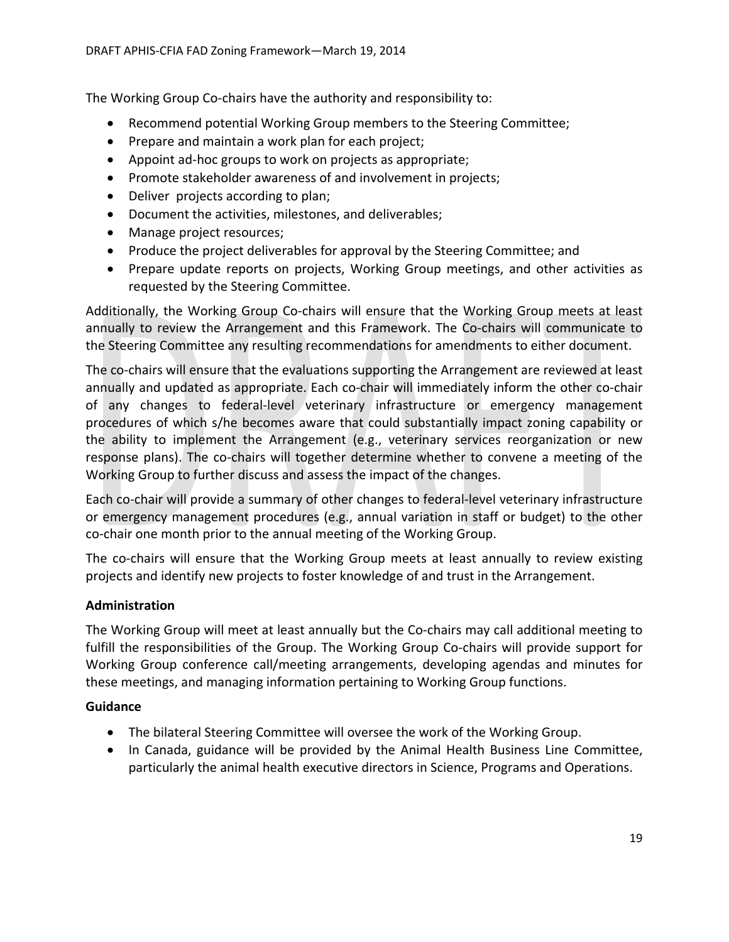The Working Group Co-chairs have the authority and responsibility to:

- Recommend potential Working Group members to the Steering Committee;
- Prepare and maintain a work plan for each project;
- Appoint ad-hoc groups to work on projects as appropriate;
- Promote stakeholder awareness of and involvement in projects;
- Deliver projects according to plan;
- Document the activities, milestones, and deliverables;
- Manage project resources;
- Produce the project deliverables for approval by the Steering Committee; and
- Prepare update reports on projects, Working Group meetings, and other activities as requested by the Steering Committee.

Additionally, the Working Group Co‐chairs will ensure that the Working Group meets at least annually to review the Arrangement and this Framework. The Co‐chairs will communicate to the Steering Committee any resulting recommendations for amendments to either document.

The co-chairs will ensure that the evaluations supporting the Arrangement are reviewed at least annually and updated as appropriate. Each co‐chair will immediately inform the other co‐chair of any changes to federal‐level veterinary infrastructure or emergency management procedures of which s/he becomes aware that could substantially impact zoning capability or the ability to implement the Arrangement (e.g., veterinary services reorganization or new response plans). The co-chairs will together determine whether to convene a meeting of the Working Group to further discuss and assess the impact of the changes.

Each co‐chair will provide a summary of other changes to federal‐level veterinary infrastructure or emergency management procedures (e.g., annual variation in staff or budget) to the other co-chair one month prior to the annual meeting of the Working Group.

The co-chairs will ensure that the Working Group meets at least annually to review existing projects and identify new projects to foster knowledge of and trust in the Arrangement.

### **Administration**

The Working Group will meet at least annually but the Co-chairs may call additional meeting to fulfill the responsibilities of the Group. The Working Group Co-chairs will provide support for Working Group conference call/meeting arrangements, developing agendas and minutes for these meetings, and managing information pertaining to Working Group functions.

### **Guidance**

- The bilateral Steering Committee will oversee the work of the Working Group.
- In Canada, guidance will be provided by the Animal Health Business Line Committee, particularly the animal health executive directors in Science, Programs and Operations.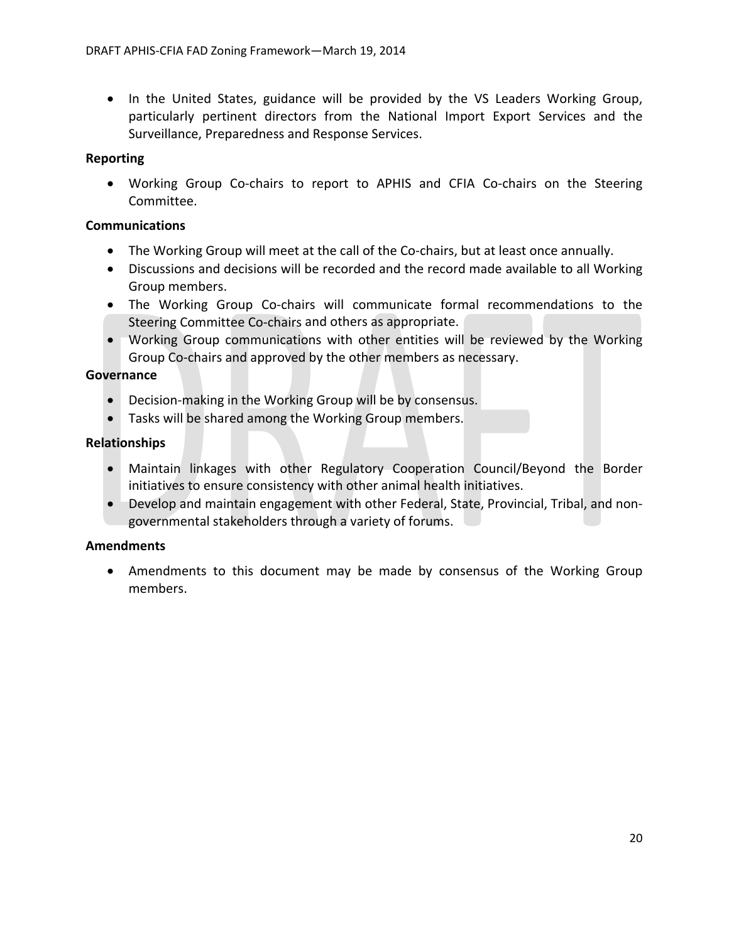• In the United States, guidance will be provided by the VS Leaders Working Group, particularly pertinent directors from the National Import Export Services and the Surveillance, Preparedness and Response Services.

### **Reporting**

• Working Group Co-chairs to report to APHIS and CFIA Co-chairs on the Steering Committee.

### **Communications**

- The Working Group will meet at the call of the Co-chairs, but at least once annually.
- Discussions and decisions will be recorded and the record made available to all Working Group members.
- The Working Group Co-chairs will communicate formal recommendations to the Steering Committee Co-chairs and others as appropriate.
- Working Group communications with other entities will be reviewed by the Working Group Co‐chairs and approved by the other members as necessary.

### **Governance**

- Decision-making in the Working Group will be by consensus.
- Tasks will be shared among the Working Group members.

### **Relationships**

- Maintain linkages with other Regulatory Cooperation Council/Beyond the Border initiatives to ensure consistency with other animal health initiatives.
- Develop and maintain engagement with other Federal, State, Provincial, Tribal, and nongovernmental stakeholders through a variety of forums.

### **Amendments**

 Amendments to this document may be made by consensus of the Working Group members.